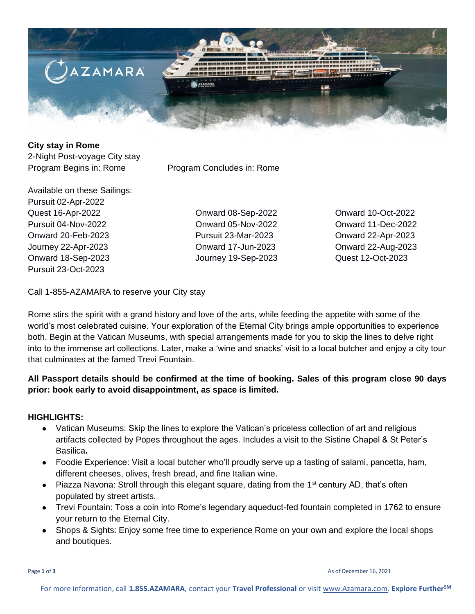

#### **City stay in Rome**  2-Night Post-voyage City stay

Program Begins in: Rome Program Concludes in: Rome

Available on these Sailings: Pursuit 02-Apr-2022 Quest 16-Apr-2022 Onward 08-Sep-2022 Onward 10-Oct-2022 Pursuit 04-Nov-2022 Onward 05-Nov-2022 Onward 11-Dec-2022 Onward 20-Feb-2023 Pursuit 23-Mar-2023 Onward 22-Apr-2023 Journey 22-Apr-2023 Onward 17-Jun-2023 Onward 22-Aug-2023 Onward 18-Sep-2023 Journey 19-Sep-2023 Quest 12-Oct-2023 Pursuit 23-Oct-2023

Call 1-855-AZAMARA to reserve your City stay

Rome stirs the spirit with a grand history and love of the arts, while feeding the appetite with some of the world's most celebrated cuisine. Your exploration of the Eternal City brings ample opportunities to experience both. Begin at the Vatican Museums, with special arrangements made for you to skip the lines to delve right into to the immense art collections. Later, make a 'wine and snacks' visit to a local butcher and enjoy a city tour that culminates at the famed Trevi Fountain.

# **All Passport details should be confirmed at the time of booking. Sales of this program close 90 days prior: book early to avoid disappointment, as space is limited.**

## **HIGHLIGHTS:**

- Vatican Museums: Skip the lines to explore the Vatican's priceless collection of art and religious artifacts collected by Popes throughout the ages. Includes a visit to the Sistine Chapel & St Peter's Basilica**.**
- Foodie Experience: Visit a local butcher who'll proudly serve up a tasting of salami, pancetta, ham, different cheeses, olives, fresh bread, and fine Italian wine.
- Piazza Navona: Stroll through this elegant square, dating from the 1<sup>st</sup> century AD, that's often populated by street artists.
- Trevi Fountain: Toss a coin into Rome's legendary aqueduct-fed fountain completed in 1762 to ensure your return to the Eternal City.
- Shops & Sights: Enjoy some free time to experience Rome on your own and explore the local shops and boutiques.

**Page 1 of 3** As of December 16, 2021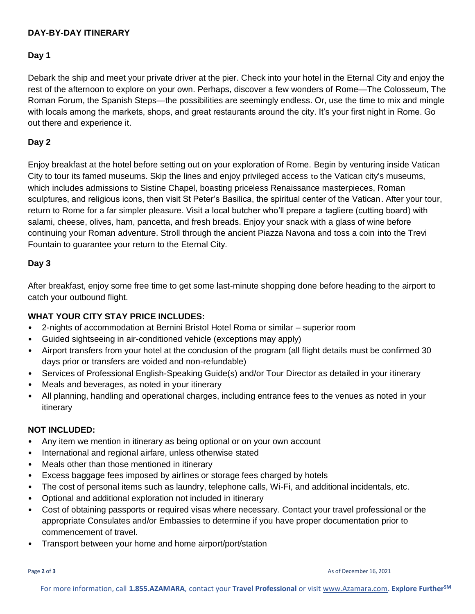### **DAY-BY-DAY ITINERARY**

#### **Day 1**

Debark the ship and meet your private driver at the pier. Check into your hotel in the Eternal City and enjoy the rest of the afternoon to explore on your own. Perhaps, discover a few wonders of Rome—The Colosseum, The Roman Forum, the Spanish Steps—the possibilities are seemingly endless. Or, use the time to mix and mingle with locals among the markets, shops, and great restaurants around the city. It's your first night in Rome. Go out there and experience it.

### **Day 2**

Enjoy breakfast at the hotel before setting out on your exploration of Rome. Begin by venturing inside Vatican City to tour its famed museums. Skip the lines and enjoy privileged access to the Vatican city's museums, which includes admissions to Sistine Chapel, boasting priceless Renaissance masterpieces, Roman sculptures, and religious icons, then visit St Peter's Basilica, the spiritual center of the Vatican. After your tour, return to Rome for a far simpler pleasure. Visit a local butcher who'll prepare a tagliere (cutting board) with salami, cheese, olives, ham, pancetta, and fresh breads. Enjoy your snack with a glass of wine before continuing your Roman adventure. Stroll through the ancient Piazza Navona and toss a coin into the Trevi Fountain to guarantee your return to the Eternal City.

### **Day 3**

After breakfast, enjoy some free time to get some last-minute shopping done before heading to the airport to catch your outbound flight.

## **WHAT YOUR CITY STAY PRICE INCLUDES:**

- 2-nights of accommodation at Bernini Bristol Hotel Roma or similar superior room
- Guided sightseeing in air-conditioned vehicle (exceptions may apply)
- Airport transfers from your hotel at the conclusion of the program (all flight details must be confirmed 30 days prior or transfers are voided and non-refundable)
- Services of Professional English-Speaking Guide(s) and/or Tour Director as detailed in your itinerary
- Meals and beverages, as noted in your itinerary
- All planning, handling and operational charges, including entrance fees to the venues as noted in your itinerary

#### **NOT INCLUDED:**

- Any item we mention in itinerary as being optional or on your own account
- International and regional airfare, unless otherwise stated
- Meals other than those mentioned in itinerary
- Excess baggage fees imposed by airlines or storage fees charged by hotels
- The cost of personal items such as laundry, telephone calls, Wi-Fi, and additional incidentals, etc.
- Optional and additional exploration not included in itinerary
- Cost of obtaining passports or required visas where necessary. Contact your travel professional or the appropriate Consulates and/or Embassies to determine if you have proper documentation prior to commencement of travel.
- Transport between your home and home airport/port/station